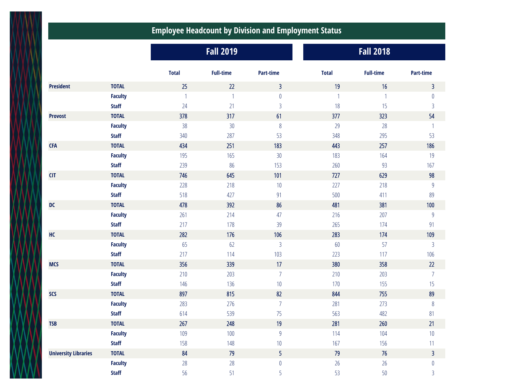## **Employee Headcount by Division and Employment Status**

|                             |                | <b>Fall 2019</b> |                  |                |              | <b>Fall 2018</b> |                |  |  |
|-----------------------------|----------------|------------------|------------------|----------------|--------------|------------------|----------------|--|--|
|                             |                | <b>Total</b>     | <b>Full-time</b> | Part-time      | <b>Total</b> | <b>Full-time</b> | Part-time      |  |  |
| <b>President</b>            | <b>TOTAL</b>   | 25               | 22               | $\overline{3}$ | 19           | 16               | $\overline{3}$ |  |  |
|                             | <b>Faculty</b> | $\overline{1}$   | $\mathbf{1}$     | $\pmb{0}$      |              | $\mathbf{1}$     | $\pmb{0}$      |  |  |
|                             | <b>Staff</b>   | 24               | 21               | $\mathfrak{Z}$ | 18           | 15               | $\mathsf{3}$   |  |  |
| <b>Provost</b>              | <b>TOTAL</b>   | 378              | 317              | 61             | 377          | 323              | 54             |  |  |
|                             | <b>Faculty</b> | 38               | 30 <sup>°</sup>  | $8\,$          | 29           | 28               | $\mathbf{1}$   |  |  |
|                             | <b>Staff</b>   | 340              | 287              | 53             | 348          | 295              | 53             |  |  |
| <b>CFA</b>                  | <b>TOTAL</b>   | 434              | 251              | 183            | 443          | 257              | 186            |  |  |
|                             | <b>Faculty</b> | 195              | 165              | $30\,$         | 183          | 164              | 19             |  |  |
|                             | <b>Staff</b>   | 239              | 86               | 153            | 260          | 93               | 167            |  |  |
| <b>CIT</b>                  | <b>TOTAL</b>   | 746              | 645              | 101            | 727          | 629              | 98             |  |  |
|                             | <b>Faculty</b> | 228              | 218              | $10$           | 227          | 218              | $9\,$          |  |  |
|                             | <b>Staff</b>   | 518              | 427              | 91             | 500          | 411              | 89             |  |  |
| DC                          | <b>TOTAL</b>   | 478              | 392              | 86             | 481          | 381              | 100            |  |  |
|                             | <b>Faculty</b> | 261              | 214              | 47             | 216          | 207              | $\overline{9}$ |  |  |
|                             | <b>Staff</b>   | 217              | 178              | 39             | 265          | 174              | 91             |  |  |
| HC                          | <b>TOTAL</b>   | 282              | 176              | 106            | 283          | 174              | 109            |  |  |
|                             | <b>Faculty</b> | 65               | 62               | $\mathfrak{Z}$ | 60           | 57               | $\mathfrak{Z}$ |  |  |
|                             | <b>Staff</b>   | 217              | 114              | 103            | 223          | 117              | 106            |  |  |
| <b>MCS</b>                  | <b>TOTAL</b>   | 356              | 339              | 17             | 380          | 358              | 22             |  |  |
|                             | <b>Faculty</b> | 210              | 203              | $\overline{7}$ | 210          | 203              | $\overline{7}$ |  |  |
|                             | <b>Staff</b>   | 146              | 136              | 10             | 170          | 155              | 15             |  |  |
| <b>SCS</b>                  | <b>TOTAL</b>   | 897              | 815              | 82             | 844          | 755              | 89             |  |  |
|                             | <b>Faculty</b> | 283              | 276              | $\overline{7}$ | 281          | 273              | $\,8\,$        |  |  |
|                             | <b>Staff</b>   | 614              | 539              | 75             | 563          | 482              | 81             |  |  |
| <b>TSB</b>                  | <b>TOTAL</b>   | 267              | 248              | 19             | 281          | 260              | 21             |  |  |
|                             | <b>Faculty</b> | 109              | 100              | $9\,$          | 114          | 104              | $10$           |  |  |
|                             | <b>Staff</b>   | 158              | 148              | $10\,$         | 167          | 156              | 11             |  |  |
| <b>University Libraries</b> | <b>TOTAL</b>   | 84               | 79               | 5              | 79           | 76               | $\overline{3}$ |  |  |
|                             | <b>Faculty</b> | 28               | 28               | $\pmb{0}$      | 26           | 26               | $\pmb{0}$      |  |  |
|                             | <b>Staff</b>   | $56\,$           | 51               | 5              | 53           | $50\,$           | $\mathsf{3}$   |  |  |